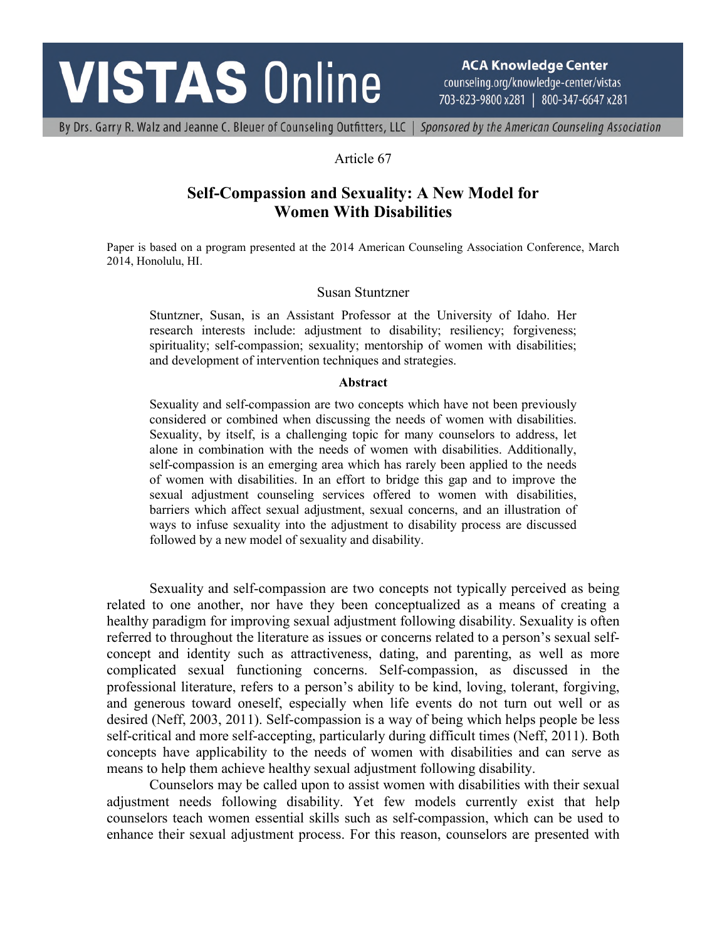# **VISTAS Online**

**ACA Knowledge Center** counseling.org/knowledge-center/vistas 703-823-9800 x281 | 800-347-6647 x281

By Drs. Garry R. Walz and Jeanne C. Bleuer of Counseling Outfitters, LLC | Sponsored by the American Counseling Association

### Article 67

## **Self-Compassion and Sexuality: A New Model for Women With Disabilities**

Paper is based on a program presented at the 2014 American Counseling Association Conference, March 2014, Honolulu, HI.

#### Susan Stuntzner

Stuntzner, Susan, is an Assistant Professor at the University of Idaho. Her research interests include: adjustment to disability; resiliency; forgiveness; spirituality; self-compassion; sexuality; mentorship of women with disabilities; and development of intervention techniques and strategies.

#### **Abstract**

Sexuality and self-compassion are two concepts which have not been previously considered or combined when discussing the needs of women with disabilities. Sexuality, by itself, is a challenging topic for many counselors to address, let alone in combination with the needs of women with disabilities. Additionally, self-compassion is an emerging area which has rarely been applied to the needs of women with disabilities. In an effort to bridge this gap and to improve the sexual adjustment counseling services offered to women with disabilities, barriers which affect sexual adjustment, sexual concerns, and an illustration of ways to infuse sexuality into the adjustment to disability process are discussed followed by a new model of sexuality and disability.

Sexuality and self-compassion are two concepts not typically perceived as being related to one another, nor have they been conceptualized as a means of creating a healthy paradigm for improving sexual adjustment following disability. Sexuality is often referred to throughout the literature as issues or concerns related to a person's sexual selfconcept and identity such as attractiveness, dating, and parenting, as well as more complicated sexual functioning concerns. Self-compassion, as discussed in the professional literature, refers to a person's ability to be kind, loving, tolerant, forgiving, and generous toward oneself, especially when life events do not turn out well or as desired (Neff, 2003, 2011). Self-compassion is a way of being which helps people be less self-critical and more self-accepting, particularly during difficult times (Neff, 2011). Both concepts have applicability to the needs of women with disabilities and can serve as means to help them achieve healthy sexual adjustment following disability.

Counselors may be called upon to assist women with disabilities with their sexual adjustment needs following disability. Yet few models currently exist that help counselors teach women essential skills such as self-compassion, which can be used to enhance their sexual adjustment process. For this reason, counselors are presented with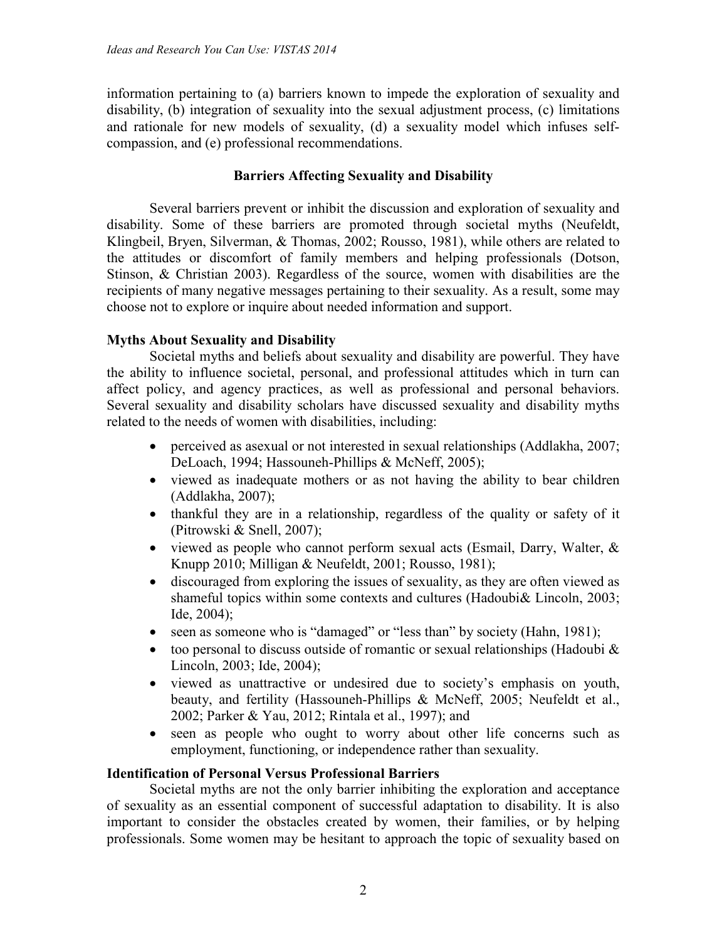information pertaining to (a) barriers known to impede the exploration of sexuality and disability, (b) integration of sexuality into the sexual adjustment process, (c) limitations and rationale for new models of sexuality, (d) a sexuality model which infuses selfcompassion, and (e) professional recommendations.

## **Barriers Affecting Sexuality and Disability**

Several barriers prevent or inhibit the discussion and exploration of sexuality and disability. Some of these barriers are promoted through societal myths (Neufeldt, Klingbeil, Bryen, Silverman, & Thomas, 2002; Rousso, 1981), while others are related to the attitudes or discomfort of family members and helping professionals (Dotson, Stinson, & Christian 2003). Regardless of the source, women with disabilities are the recipients of many negative messages pertaining to their sexuality. As a result, some may choose not to explore or inquire about needed information and support.

## **Myths About Sexuality and Disability**

Societal myths and beliefs about sexuality and disability are powerful. They have the ability to influence societal, personal, and professional attitudes which in turn can affect policy, and agency practices, as well as professional and personal behaviors. Several sexuality and disability scholars have discussed sexuality and disability myths related to the needs of women with disabilities, including:

- perceived as asexual or not interested in sexual relationships (Addlakha, 2007; DeLoach, 1994; Hassouneh-Phillips & McNeff, 2005);
- viewed as inadequate mothers or as not having the ability to bear children (Addlakha, 2007);
- thankful they are in a relationship, regardless of the quality or safety of it (Pitrowski & Snell, 2007);
- viewed as people who cannot perform sexual acts (Esmail, Darry, Walter, & Knupp 2010; Milligan & Neufeldt, 2001; Rousso, 1981);
- discouraged from exploring the issues of sexuality, as they are often viewed as shameful topics within some contexts and cultures (Hadoubi& Lincoln, 2003; Ide, 2004);
- seen as someone who is "damaged" or "less than" by society (Hahn, 1981);
- too personal to discuss outside of romantic or sexual relationships (Hadoubi  $\&$ Lincoln, 2003; Ide, 2004);
- viewed as unattractive or undesired due to society's emphasis on youth, beauty, and fertility (Hassouneh-Phillips & McNeff, 2005; Neufeldt et al., 2002; Parker & Yau, 2012; Rintala et al., 1997); and
- seen as people who ought to worry about other life concerns such as employment, functioning, or independence rather than sexuality.

#### **Identification of Personal Versus Professional Barriers**

Societal myths are not the only barrier inhibiting the exploration and acceptance of sexuality as an essential component of successful adaptation to disability. It is also important to consider the obstacles created by women, their families, or by helping professionals. Some women may be hesitant to approach the topic of sexuality based on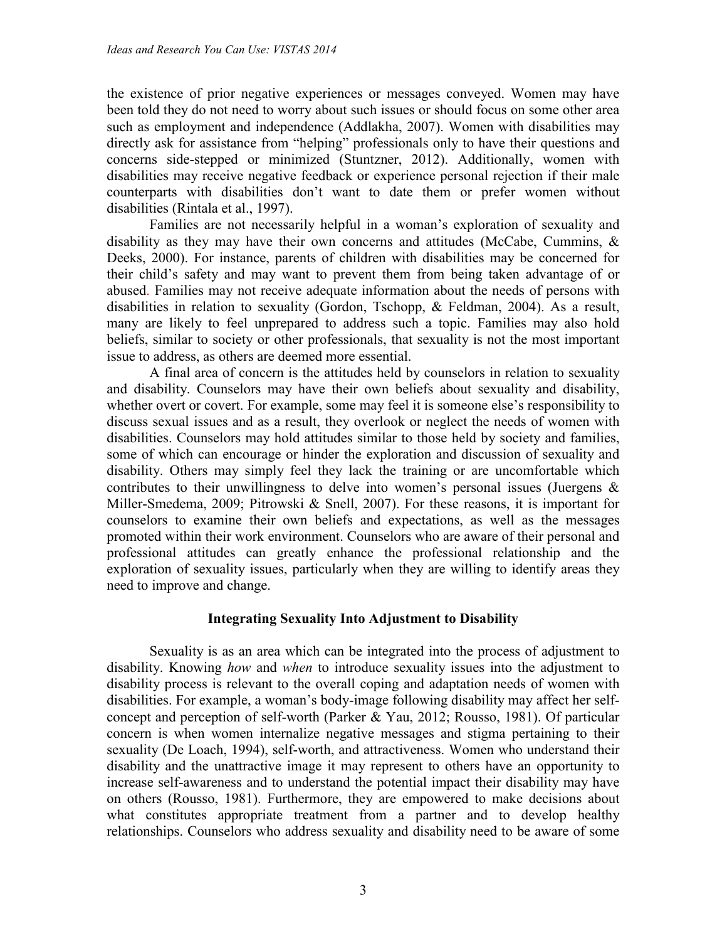the existence of prior negative experiences or messages conveyed. Women may have been told they do not need to worry about such issues or should focus on some other area such as employment and independence (Addlakha, 2007). Women with disabilities may directly ask for assistance from "helping" professionals only to have their questions and concerns side-stepped or minimized (Stuntzner, 2012). Additionally, women with disabilities may receive negative feedback or experience personal rejection if their male counterparts with disabilities don't want to date them or prefer women without disabilities (Rintala et al., 1997).

Families are not necessarily helpful in a woman's exploration of sexuality and disability as they may have their own concerns and attitudes (McCabe, Cummins, & Deeks, 2000). For instance, parents of children with disabilities may be concerned for their child's safety and may want to prevent them from being taken advantage of or abused. Families may not receive adequate information about the needs of persons with disabilities in relation to sexuality (Gordon, Tschopp, & Feldman, 2004). As a result, many are likely to feel unprepared to address such a topic. Families may also hold beliefs, similar to society or other professionals, that sexuality is not the most important issue to address, as others are deemed more essential.

A final area of concern is the attitudes held by counselors in relation to sexuality and disability. Counselors may have their own beliefs about sexuality and disability, whether overt or covert. For example, some may feel it is someone else's responsibility to discuss sexual issues and as a result, they overlook or neglect the needs of women with disabilities. Counselors may hold attitudes similar to those held by society and families, some of which can encourage or hinder the exploration and discussion of sexuality and disability. Others may simply feel they lack the training or are uncomfortable which contributes to their unwillingness to delve into women's personal issues (Juergens & Miller-Smedema, 2009; Pitrowski & Snell, 2007). For these reasons, it is important for counselors to examine their own beliefs and expectations, as well as the messages promoted within their work environment. Counselors who are aware of their personal and professional attitudes can greatly enhance the professional relationship and the exploration of sexuality issues, particularly when they are willing to identify areas they need to improve and change.

#### **Integrating Sexuality Into Adjustment to Disability**

Sexuality is as an area which can be integrated into the process of adjustment to disability. Knowing *how* and *when* to introduce sexuality issues into the adjustment to disability process is relevant to the overall coping and adaptation needs of women with disabilities. For example, a woman's body-image following disability may affect her selfconcept and perception of self-worth (Parker & Yau, 2012; Rousso, 1981). Of particular concern is when women internalize negative messages and stigma pertaining to their sexuality (De Loach, 1994), self-worth, and attractiveness. Women who understand their disability and the unattractive image it may represent to others have an opportunity to increase self-awareness and to understand the potential impact their disability may have on others (Rousso, 1981). Furthermore, they are empowered to make decisions about what constitutes appropriate treatment from a partner and to develop healthy relationships. Counselors who address sexuality and disability need to be aware of some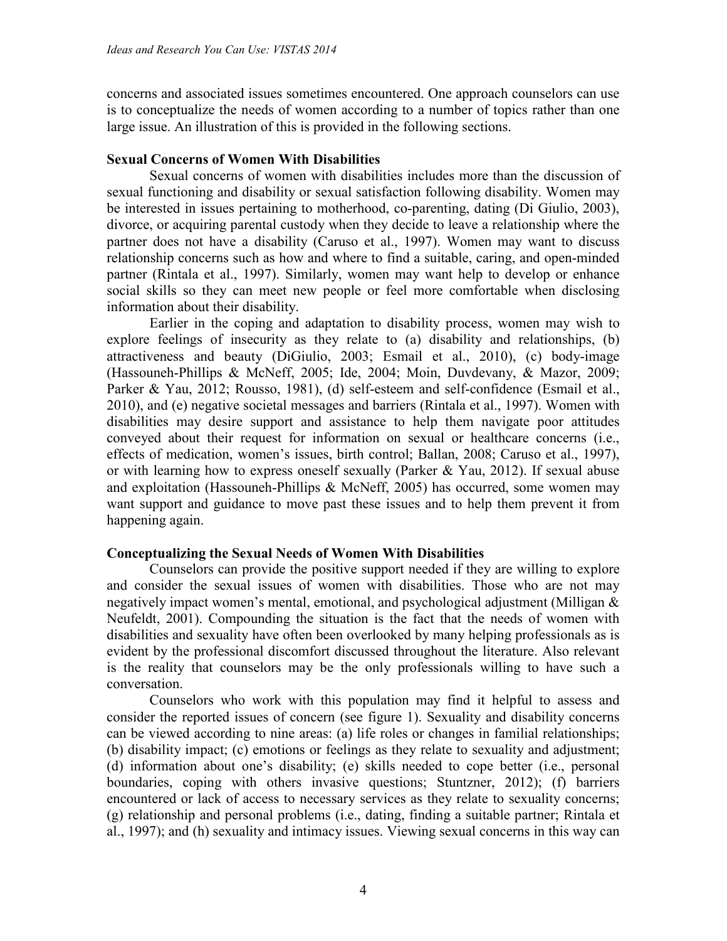concerns and associated issues sometimes encountered. One approach counselors can use is to conceptualize the needs of women according to a number of topics rather than one large issue. An illustration of this is provided in the following sections.

#### **Sexual Concerns of Women With Disabilities**

Sexual concerns of women with disabilities includes more than the discussion of sexual functioning and disability or sexual satisfaction following disability. Women may be interested in issues pertaining to motherhood, co-parenting, dating (Di Giulio, 2003), divorce, or acquiring parental custody when they decide to leave a relationship where the partner does not have a disability (Caruso et al., 1997). Women may want to discuss relationship concerns such as how and where to find a suitable, caring, and open-minded partner (Rintala et al., 1997). Similarly, women may want help to develop or enhance social skills so they can meet new people or feel more comfortable when disclosing information about their disability.

Earlier in the coping and adaptation to disability process, women may wish to explore feelings of insecurity as they relate to (a) disability and relationships, (b) attractiveness and beauty (DiGiulio, 2003; Esmail et al., 2010), (c) body-image (Hassouneh-Phillips & McNeff, 2005; Ide, 2004; Moin, Duvdevany, & Mazor, 2009; Parker & Yau, 2012; Rousso, 1981), (d) self-esteem and self-confidence (Esmail et al., 2010), and (e) negative societal messages and barriers (Rintala et al., 1997). Women with disabilities may desire support and assistance to help them navigate poor attitudes conveyed about their request for information on sexual or healthcare concerns (i.e., effects of medication, women's issues, birth control; Ballan, 2008; Caruso et al., 1997), or with learning how to express oneself sexually (Parker  $& Y$ au, 2012). If sexual abuse and exploitation (Hassouneh-Phillips & McNeff, 2005) has occurred, some women may want support and guidance to move past these issues and to help them prevent it from happening again.

#### **Conceptualizing the Sexual Needs of Women With Disabilities**

Counselors can provide the positive support needed if they are willing to explore and consider the sexual issues of women with disabilities. Those who are not may negatively impact women's mental, emotional, and psychological adjustment (Milligan & Neufeldt, 2001). Compounding the situation is the fact that the needs of women with disabilities and sexuality have often been overlooked by many helping professionals as is evident by the professional discomfort discussed throughout the literature. Also relevant is the reality that counselors may be the only professionals willing to have such a conversation.

Counselors who work with this population may find it helpful to assess and consider the reported issues of concern (see figure 1). Sexuality and disability concerns can be viewed according to nine areas: (a) life roles or changes in familial relationships; (b) disability impact; (c) emotions or feelings as they relate to sexuality and adjustment; (d) information about one's disability; (e) skills needed to cope better (i.e., personal boundaries, coping with others invasive questions; Stuntzner, 2012); (f) barriers encountered or lack of access to necessary services as they relate to sexuality concerns; (g) relationship and personal problems (i.e., dating, finding a suitable partner; Rintala et al., 1997); and (h) sexuality and intimacy issues. Viewing sexual concerns in this way can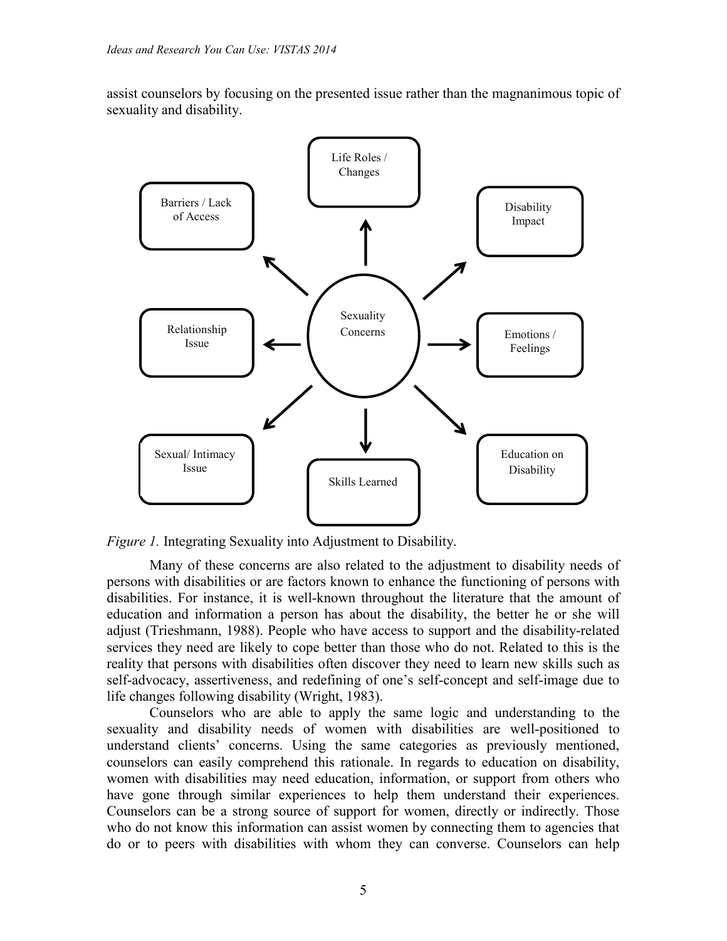assist counselors by focusing on the presented issue rather than the magnanimous topic of sexuality and disability.



*Figure 1.* Integrating Sexuality into Adjustment to Disability.

Many of these concerns are also related to the adjustment to disability needs of persons with disabilities or are factors known to enhance the functioning of persons with disabilities. For instance, it is well-known throughout the literature that the amount of education and information a person has about the disability, the better he or she will adjust (Trieshmann, 1988). People who have access to support and the disability-related services they need are likely to cope better than those who do not. Related to this is the reality that persons with disabilities often discover they need to learn new skills such as self-advocacy, assertiveness, and redefining of one's self-concept and self-image due to life changes following disability (Wright, 1983).

Counselors who are able to apply the same logic and understanding to the sexuality and disability needs of women with disabilities are well-positioned to understand clients' concerns. Using the same categories as previously mentioned, counselors can easily comprehend this rationale. In regards to education on disability, women with disabilities may need education, information, or support from others who have gone through similar experiences to help them understand their experiences. Counselors can be a strong source of support for women, directly or indirectly. Those who do not know this information can assist women by connecting them to agencies that do or to peers with disabilities with whom they can converse. Counselors can help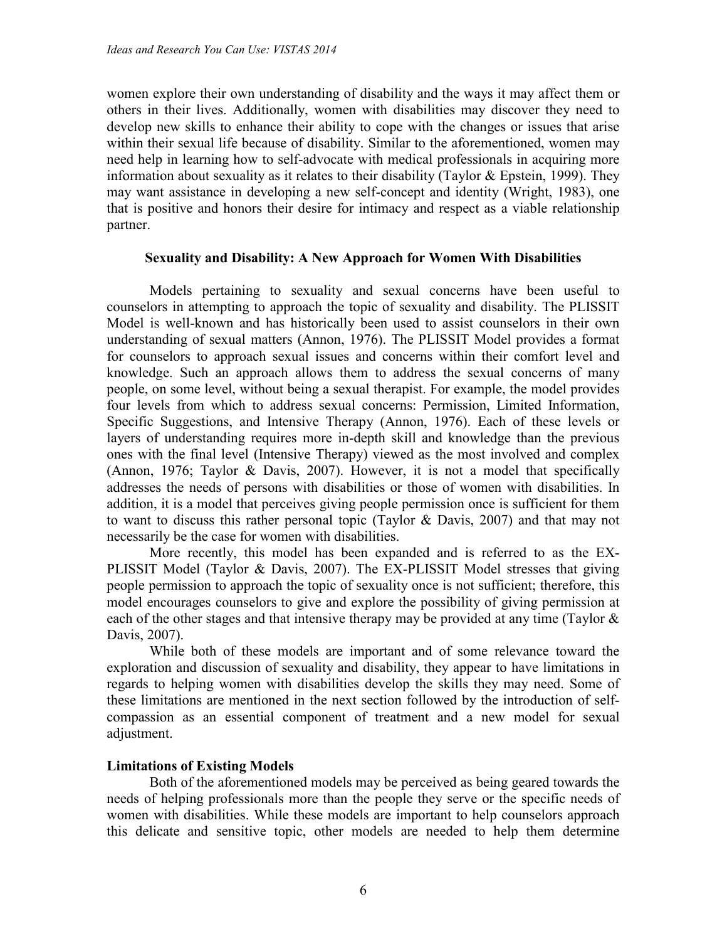women explore their own understanding of disability and the ways it may affect them or others in their lives. Additionally, women with disabilities may discover they need to develop new skills to enhance their ability to cope with the changes or issues that arise within their sexual life because of disability. Similar to the aforementioned, women may need help in learning how to self-advocate with medical professionals in acquiring more information about sexuality as it relates to their disability (Taylor & Epstein, 1999). They may want assistance in developing a new self-concept and identity (Wright, 1983), one that is positive and honors their desire for intimacy and respect as a viable relationship partner.

#### **Sexuality and Disability: A New Approach for Women With Disabilities**

Models pertaining to sexuality and sexual concerns have been useful to counselors in attempting to approach the topic of sexuality and disability. The PLISSIT Model is well-known and has historically been used to assist counselors in their own understanding of sexual matters (Annon, 1976). The PLISSIT Model provides a format for counselors to approach sexual issues and concerns within their comfort level and knowledge. Such an approach allows them to address the sexual concerns of many people, on some level, without being a sexual therapist. For example, the model provides four levels from which to address sexual concerns: Permission, Limited Information, Specific Suggestions, and Intensive Therapy (Annon, 1976). Each of these levels or layers of understanding requires more in-depth skill and knowledge than the previous ones with the final level (Intensive Therapy) viewed as the most involved and complex (Annon, 1976; Taylor & Davis, 2007). However, it is not a model that specifically addresses the needs of persons with disabilities or those of women with disabilities. In addition, it is a model that perceives giving people permission once is sufficient for them to want to discuss this rather personal topic (Taylor & Davis, 2007) and that may not necessarily be the case for women with disabilities.

More recently, this model has been expanded and is referred to as the EX-PLISSIT Model (Taylor & Davis, 2007). The EX-PLISSIT Model stresses that giving people permission to approach the topic of sexuality once is not sufficient; therefore, this model encourages counselors to give and explore the possibility of giving permission at each of the other stages and that intensive therapy may be provided at any time (Taylor & Davis, 2007).

While both of these models are important and of some relevance toward the exploration and discussion of sexuality and disability, they appear to have limitations in regards to helping women with disabilities develop the skills they may need. Some of these limitations are mentioned in the next section followed by the introduction of selfcompassion as an essential component of treatment and a new model for sexual adjustment.

#### **Limitations of Existing Models**

Both of the aforementioned models may be perceived as being geared towards the needs of helping professionals more than the people they serve or the specific needs of women with disabilities. While these models are important to help counselors approach this delicate and sensitive topic, other models are needed to help them determine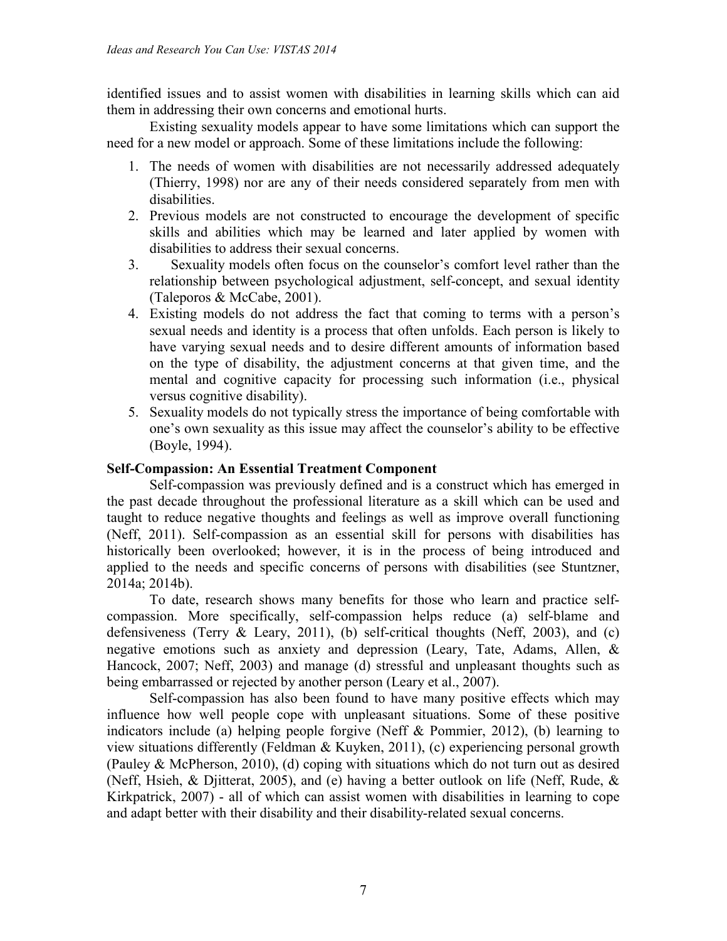identified issues and to assist women with disabilities in learning skills which can aid them in addressing their own concerns and emotional hurts.

Existing sexuality models appear to have some limitations which can support the need for a new model or approach. Some of these limitations include the following:

- 1. The needs of women with disabilities are not necessarily addressed adequately (Thierry, 1998) nor are any of their needs considered separately from men with disabilities.
- 2. Previous models are not constructed to encourage the development of specific skills and abilities which may be learned and later applied by women with disabilities to address their sexual concerns.
- 3. Sexuality models often focus on the counselor's comfort level rather than the relationship between psychological adjustment, self-concept, and sexual identity (Taleporos & McCabe, 2001).
- 4. Existing models do not address the fact that coming to terms with a person's sexual needs and identity is a process that often unfolds. Each person is likely to have varying sexual needs and to desire different amounts of information based on the type of disability, the adjustment concerns at that given time, and the mental and cognitive capacity for processing such information (i.e., physical versus cognitive disability).
- 5. Sexuality models do not typically stress the importance of being comfortable with one's own sexuality as this issue may affect the counselor's ability to be effective (Boyle, 1994).

## **Self-Compassion: An Essential Treatment Component**

Self-compassion was previously defined and is a construct which has emerged in the past decade throughout the professional literature as a skill which can be used and taught to reduce negative thoughts and feelings as well as improve overall functioning (Neff, 2011). Self-compassion as an essential skill for persons with disabilities has historically been overlooked; however, it is in the process of being introduced and applied to the needs and specific concerns of persons with disabilities (see Stuntzner, 2014a; 2014b).

To date, research shows many benefits for those who learn and practice selfcompassion. More specifically, self-compassion helps reduce (a) self-blame and defensiveness (Terry & Leary, 2011), (b) self-critical thoughts (Neff, 2003), and (c) negative emotions such as anxiety and depression (Leary, Tate, Adams, Allen, & Hancock, 2007; Neff, 2003) and manage (d) stressful and unpleasant thoughts such as being embarrassed or rejected by another person (Leary et al., 2007).

Self-compassion has also been found to have many positive effects which may influence how well people cope with unpleasant situations. Some of these positive indicators include (a) helping people forgive (Neff & Pommier, 2012), (b) learning to view situations differently (Feldman & Kuyken, 2011), (c) experiencing personal growth (Pauley & McPherson, 2010), (d) coping with situations which do not turn out as desired (Neff, Hsieh, & Djitterat, 2005), and (e) having a better outlook on life (Neff, Rude, & Kirkpatrick, 2007) - all of which can assist women with disabilities in learning to cope and adapt better with their disability and their disability-related sexual concerns.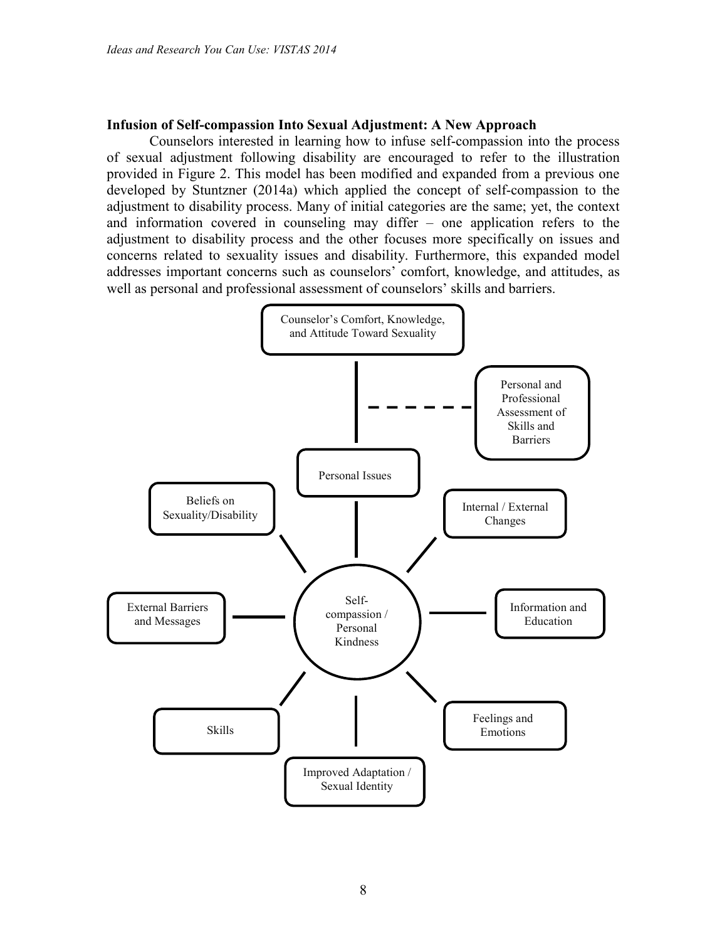#### **Infusion of Self-compassion Into Sexual Adjustment: A New Approach**

Counselors interested in learning how to infuse self-compassion into the process of sexual adjustment following disability are encouraged to refer to the illustration provided in Figure 2. This model has been modified and expanded from a previous one developed by Stuntzner (2014a) which applied the concept of self-compassion to the adjustment to disability process. Many of initial categories are the same; yet, the context and information covered in counseling may differ – one application refers to the adjustment to disability process and the other focuses more specifically on issues and concerns related to sexuality issues and disability. Furthermore, this expanded model addresses important concerns such as counselors' comfort, knowledge, and attitudes, as well as personal and professional assessment of counselors' skills and barriers.

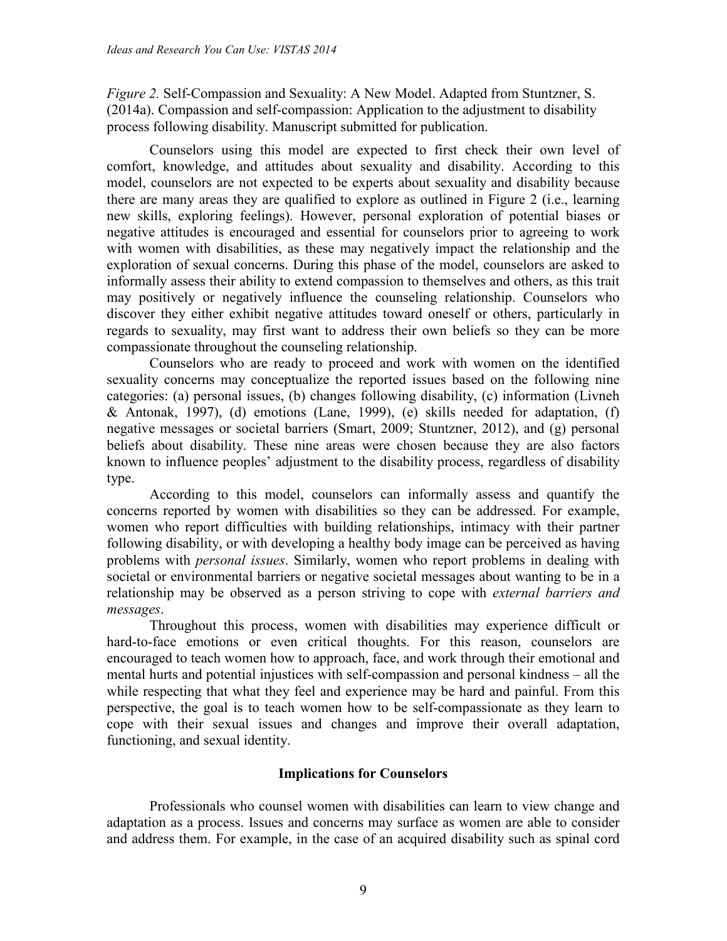*Figure 2.* Self-Compassion and Sexuality: A New Model. Adapted from Stuntzner, S. (2014a). Compassion and self-compassion: Application to the adjustment to disability process following disability. Manuscript submitted for publication.

Counselors using this model are expected to first check their own level of comfort, knowledge, and attitudes about sexuality and disability. According to this model, counselors are not expected to be experts about sexuality and disability because there are many areas they are qualified to explore as outlined in Figure 2 (i.e., learning new skills, exploring feelings). However, personal exploration of potential biases or negative attitudes is encouraged and essential for counselors prior to agreeing to work with women with disabilities, as these may negatively impact the relationship and the exploration of sexual concerns. During this phase of the model, counselors are asked to informally assess their ability to extend compassion to themselves and others, as this trait may positively or negatively influence the counseling relationship. Counselors who discover they either exhibit negative attitudes toward oneself or others, particularly in regards to sexuality, may first want to address their own beliefs so they can be more compassionate throughout the counseling relationship.

Counselors who are ready to proceed and work with women on the identified sexuality concerns may conceptualize the reported issues based on the following nine categories: (a) personal issues, (b) changes following disability, (c) information (Livneh & Antonak, 1997), (d) emotions (Lane, 1999), (e) skills needed for adaptation, (f) negative messages or societal barriers (Smart, 2009; Stuntzner, 2012), and (g) personal beliefs about disability. These nine areas were chosen because they are also factors known to influence peoples' adjustment to the disability process, regardless of disability type.

According to this model, counselors can informally assess and quantify the concerns reported by women with disabilities so they can be addressed. For example, women who report difficulties with building relationships, intimacy with their partner following disability, or with developing a healthy body image can be perceived as having problems with *personal issues*. Similarly, women who report problems in dealing with societal or environmental barriers or negative societal messages about wanting to be in a relationship may be observed as a person striving to cope with *external barriers and messages*.

Throughout this process, women with disabilities may experience difficult or hard-to-face emotions or even critical thoughts. For this reason, counselors are encouraged to teach women how to approach, face, and work through their emotional and mental hurts and potential injustices with self-compassion and personal kindness – all the while respecting that what they feel and experience may be hard and painful. From this perspective, the goal is to teach women how to be self-compassionate as they learn to cope with their sexual issues and changes and improve their overall adaptation, functioning, and sexual identity.

#### **Implications for Counselors**

Professionals who counsel women with disabilities can learn to view change and adaptation as a process. Issues and concerns may surface as women are able to consider and address them. For example, in the case of an acquired disability such as spinal cord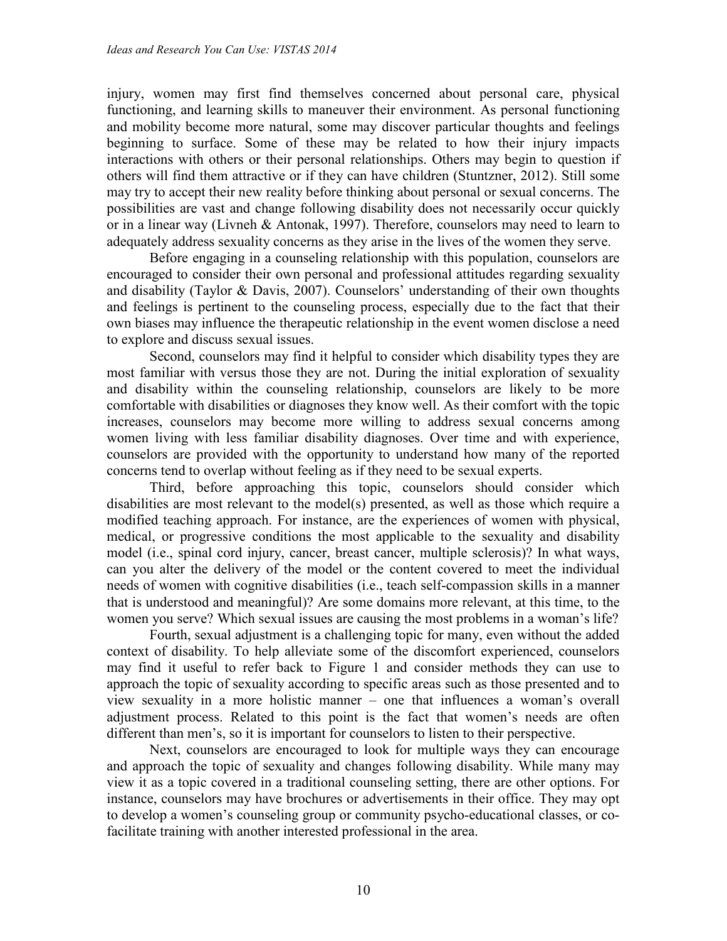injury, women may first find themselves concerned about personal care, physical functioning, and learning skills to maneuver their environment. As personal functioning and mobility become more natural, some may discover particular thoughts and feelings beginning to surface. Some of these may be related to how their injury impacts interactions with others or their personal relationships. Others may begin to question if others will find them attractive or if they can have children (Stuntzner, 2012). Still some may try to accept their new reality before thinking about personal or sexual concerns. The possibilities are vast and change following disability does not necessarily occur quickly or in a linear way (Livneh & Antonak, 1997). Therefore, counselors may need to learn to adequately address sexuality concerns as they arise in the lives of the women they serve.

Before engaging in a counseling relationship with this population, counselors are encouraged to consider their own personal and professional attitudes regarding sexuality and disability (Taylor & Davis, 2007). Counselors' understanding of their own thoughts and feelings is pertinent to the counseling process, especially due to the fact that their own biases may influence the therapeutic relationship in the event women disclose a need to explore and discuss sexual issues.

Second, counselors may find it helpful to consider which disability types they are most familiar with versus those they are not. During the initial exploration of sexuality and disability within the counseling relationship, counselors are likely to be more comfortable with disabilities or diagnoses they know well. As their comfort with the topic increases, counselors may become more willing to address sexual concerns among women living with less familiar disability diagnoses. Over time and with experience, counselors are provided with the opportunity to understand how many of the reported concerns tend to overlap without feeling as if they need to be sexual experts.

Third, before approaching this topic, counselors should consider which disabilities are most relevant to the model(s) presented, as well as those which require a modified teaching approach. For instance, are the experiences of women with physical, medical, or progressive conditions the most applicable to the sexuality and disability model (i.e., spinal cord injury, cancer, breast cancer, multiple sclerosis)? In what ways, can you alter the delivery of the model or the content covered to meet the individual needs of women with cognitive disabilities (i.e., teach self-compassion skills in a manner that is understood and meaningful)? Are some domains more relevant, at this time, to the women you serve? Which sexual issues are causing the most problems in a woman's life?

Fourth, sexual adjustment is a challenging topic for many, even without the added context of disability. To help alleviate some of the discomfort experienced, counselors may find it useful to refer back to Figure 1 and consider methods they can use to approach the topic of sexuality according to specific areas such as those presented and to view sexuality in a more holistic manner – one that influences a woman's overall adjustment process. Related to this point is the fact that women's needs are often different than men's, so it is important for counselors to listen to their perspective.

Next, counselors are encouraged to look for multiple ways they can encourage and approach the topic of sexuality and changes following disability. While many may view it as a topic covered in a traditional counseling setting, there are other options. For instance, counselors may have brochures or advertisements in their office. They may opt to develop a women's counseling group or community psycho-educational classes, or cofacilitate training with another interested professional in the area.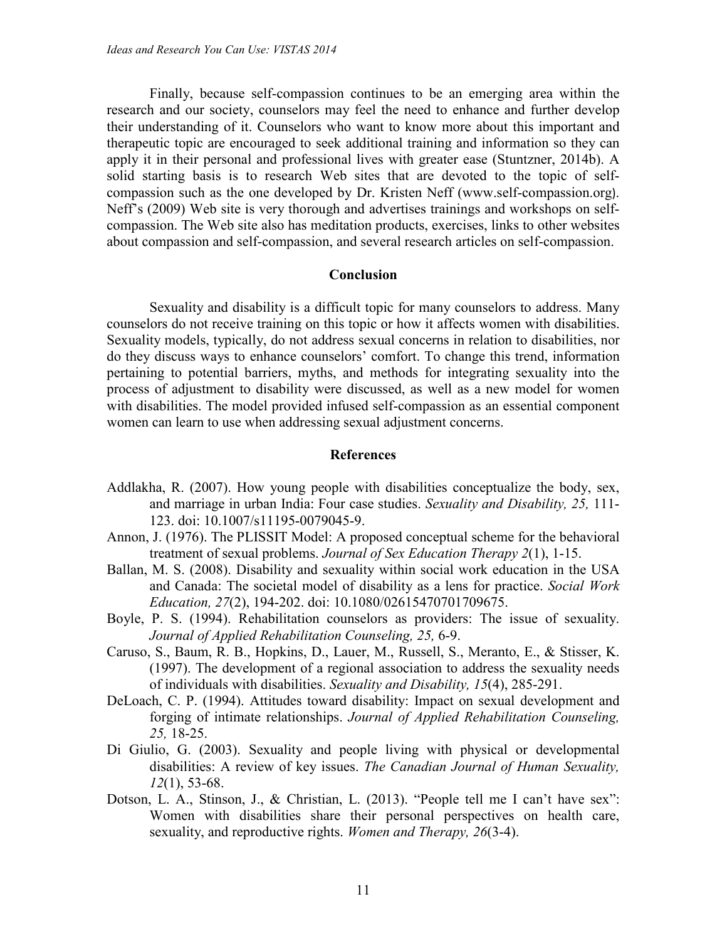Finally, because self-compassion continues to be an emerging area within the research and our society, counselors may feel the need to enhance and further develop their understanding of it. Counselors who want to know more about this important and therapeutic topic are encouraged to seek additional training and information so they can apply it in their personal and professional lives with greater ease (Stuntzner, 2014b). A solid starting basis is to research Web sites that are devoted to the topic of selfcompassion such as the one developed by Dr. Kristen Neff (www.self-compassion.org). Neff's (2009) Web site is very thorough and advertises trainings and workshops on selfcompassion. The Web site also has meditation products, exercises, links to other websites about compassion and self-compassion, and several research articles on self-compassion.

#### **Conclusion**

Sexuality and disability is a difficult topic for many counselors to address. Many counselors do not receive training on this topic or how it affects women with disabilities. Sexuality models, typically, do not address sexual concerns in relation to disabilities, nor do they discuss ways to enhance counselors' comfort. To change this trend, information pertaining to potential barriers, myths, and methods for integrating sexuality into the process of adjustment to disability were discussed, as well as a new model for women with disabilities. The model provided infused self-compassion as an essential component women can learn to use when addressing sexual adjustment concerns.

#### **References**

- Addlakha, R. (2007). How young people with disabilities conceptualize the body, sex, and marriage in urban India: Four case studies. *Sexuality and Disability, 25,* 111- 123. doi: 10.1007/s11195-0079045-9.
- Annon, J. (1976). The PLISSIT Model: A proposed conceptual scheme for the behavioral treatment of sexual problems. *Journal of Sex Education Therapy 2*(1), 1-15.
- Ballan, M. S. (2008). Disability and sexuality within social work education in the USA and Canada: The societal model of disability as a lens for practice. *Social Work Education, 27*(2), 194-202. doi: 10.1080/02615470701709675.
- Boyle, P. S. (1994). Rehabilitation counselors as providers: The issue of sexuality. *Journal of Applied Rehabilitation Counseling, 25,* 6-9.
- Caruso, S., Baum, R. B., Hopkins, D., Lauer, M., Russell, S., Meranto, E., & Stisser, K. (1997). The development of a regional association to address the sexuality needs of individuals with disabilities. *Sexuality and Disability, 15*(4), 285-291.
- DeLoach, C. P. (1994). Attitudes toward disability: Impact on sexual development and forging of intimate relationships. *Journal of Applied Rehabilitation Counseling, 25,* 18-25.
- Di Giulio, G. (2003). Sexuality and people living with physical or developmental disabilities: A review of key issues. *The Canadian Journal of Human Sexuality, 12*(1), 53-68.
- Dotson, L. A., Stinson, J., & Christian, L. (2013). "People tell me I can't have sex": Women with disabilities share their personal perspectives on health care, sexuality, and reproductive rights. *Women and Therapy, 26*(3-4).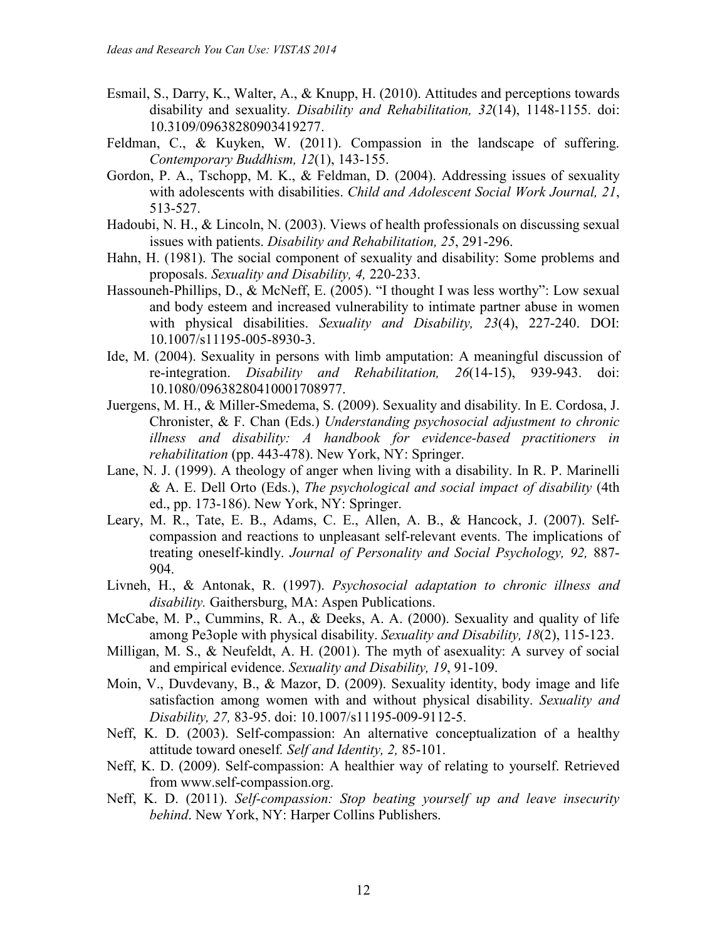- Esmail, S., Darry, K., Walter, A., & Knupp, H. (2010). Attitudes and perceptions towards disability and sexuality. *Disability and Rehabilitation, 32*(14), 1148-1155. doi: 10.3109/09638280903419277.
- Feldman, C., & Kuyken, W. (2011). Compassion in the landscape of suffering. *Contemporary Buddhism, 12*(1), 143-155.
- Gordon, P. A., Tschopp, M. K., & Feldman, D. (2004). Addressing issues of sexuality with adolescents with disabilities. *Child and Adolescent Social Work Journal, 21*, 513-527.
- Hadoubi, N. H., & Lincoln, N. (2003). Views of health professionals on discussing sexual issues with patients. *Disability and Rehabilitation, 25*, 291-296.
- Hahn, H. (1981). The social component of sexuality and disability: Some problems and proposals. *Sexuality and Disability, 4,* 220-233.
- Hassouneh-Phillips, D., & McNeff, E. (2005). "I thought I was less worthy": Low sexual and body esteem and increased vulnerability to intimate partner abuse in women with physical disabilities. *Sexuality and Disability, 23*(4), 227-240. DOI: 10.1007/s11195-005-8930-3.
- Ide, M. (2004). Sexuality in persons with limb amputation: A meaningful discussion of re-integration. *Disability and Rehabilitation, 26*(14-15), 939-943. doi: 10.1080/09638280410001708977.
- Juergens, M. H., & Miller-Smedema, S. (2009). Sexuality and disability. In E. Cordosa, J. Chronister, & F. Chan (Eds.) *Understanding psychosocial adjustment to chronic illness and disability: A handbook for evidence-based practitioners in rehabilitation* (pp. 443-478). New York, NY: Springer.
- Lane, N. J. (1999). A theology of anger when living with a disability. In R. P. Marinelli & A. E. Dell Orto (Eds.), *The psychological and social impact of disability* (4th ed., pp. 173-186). New York, NY: Springer.
- Leary, M. R., Tate, E. B., Adams, C. E., Allen, A. B., & Hancock, J. (2007). Selfcompassion and reactions to unpleasant self-relevant events. The implications of treating oneself-kindly. *Journal of Personality and Social Psychology, 92,* 887- 904.
- Livneh, H., & Antonak, R. (1997). *Psychosocial adaptation to chronic illness and disability.* Gaithersburg, MA: Aspen Publications.
- McCabe, M. P., Cummins, R. A., & Deeks, A. A. (2000). Sexuality and quality of life among Pe3ople with physical disability. *Sexuality and Disability, 18*(2), 115-123.
- Milligan, M. S., & Neufeldt, A. H. (2001). The myth of asexuality: A survey of social and empirical evidence. *Sexuality and Disability, 19*, 91-109.
- Moin, V., Duvdevany, B., & Mazor, D. (2009). Sexuality identity, body image and life satisfaction among women with and without physical disability. *Sexuality and Disability, 27,* 83-95. doi: 10.1007/s11195-009-9112-5.
- Neff, K. D. (2003). Self-compassion: An alternative conceptualization of a healthy attitude toward oneself*. Self and Identity, 2,* 85-101.
- Neff, K. D. (2009). Self-compassion: A healthier way of relating to yourself. Retrieved from www.self-compassion.org.
- Neff, K. D. (2011). *Self-compassion: Stop beating yourself up and leave insecurity behind*. New York, NY: Harper Collins Publishers.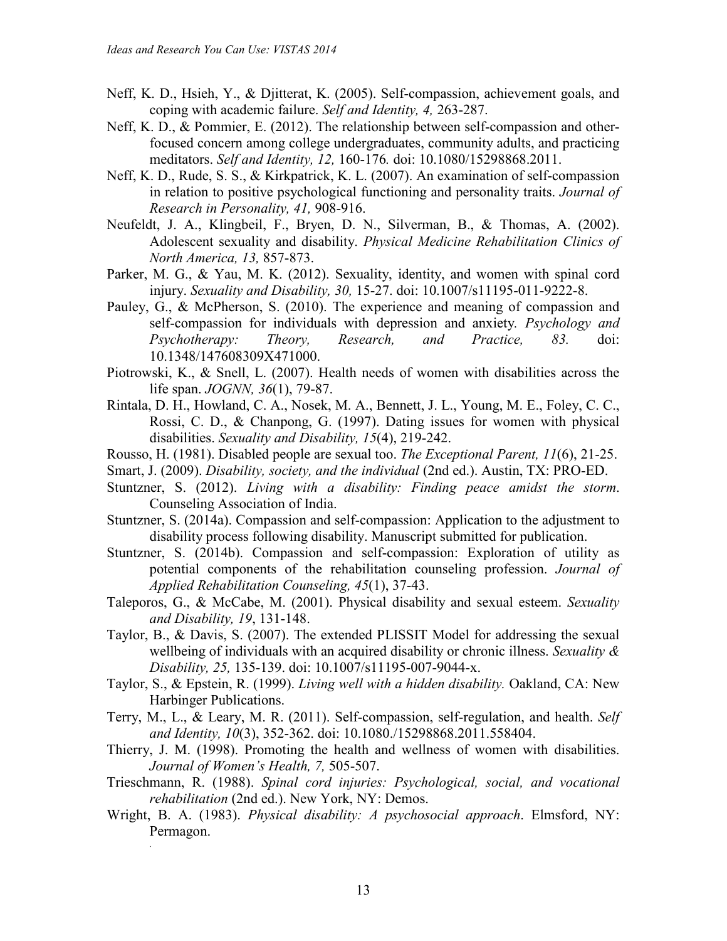- Neff, K. D., Hsieh, Y., & Djitterat, K. (2005). Self-compassion, achievement goals, and coping with academic failure. *Self and Identity, 4,* 263-287.
- Neff, K. D., & Pommier, E. (2012). The relationship between self-compassion and otherfocused concern among college undergraduates, community adults, and practicing meditators. *Self and Identity, 12,* 160-176*.* doi: 10.1080/15298868.2011.
- Neff, K. D., Rude, S. S., & Kirkpatrick, K. L. (2007). An examination of self-compassion in relation to positive psychological functioning and personality traits. *Journal of Research in Personality, 41,* 908-916.
- Neufeldt, J. A., Klingbeil, F., Bryen, D. N., Silverman, B., & Thomas, A. (2002). Adolescent sexuality and disability. *Physical Medicine Rehabilitation Clinics of North America, 13,* 857-873.
- Parker, M. G., & Yau, M. K. (2012). Sexuality, identity, and women with spinal cord injury. *Sexuality and Disability, 30,* 15-27. doi: 10.1007/s11195-011-9222-8.
- Pauley, G., & McPherson, S. (2010). The experience and meaning of compassion and self-compassion for individuals with depression and anxiety*. Psychology and Psychotherapy: Theory, Research, and Practice, 83.* doi: 10.1348/147608309X471000.
- Piotrowski, K., & Snell, L. (2007). Health needs of women with disabilities across the life span. *JOGNN, 36*(1), 79-87.
- Rintala, D. H., Howland, C. A., Nosek, M. A., Bennett, J. L., Young, M. E., Foley, C. C., Rossi, C. D., & Chanpong, G. (1997). Dating issues for women with physical disabilities. *Sexuality and Disability, 15*(4), 219-242.
- Rousso, H. (1981). Disabled people are sexual too. *The Exceptional Parent, 11*(6), 21-25.
- Smart, J. (2009). *Disability, society, and the individual* (2nd ed.). Austin, TX: PRO-ED.
- Stuntzner, S. (2012). *Living with a disability: Finding peace amidst the storm*. Counseling Association of India.
- Stuntzner, S. (2014a). Compassion and self-compassion: Application to the adjustment to disability process following disability. Manuscript submitted for publication.
- Stuntzner, S. (2014b). Compassion and self-compassion: Exploration of utility as potential components of the rehabilitation counseling profession. *Journal of Applied Rehabilitation Counseling, 45*(1), 37-43.
- Taleporos, G., & McCabe, M. (2001). Physical disability and sexual esteem. *Sexuality and Disability, 19*, 131-148.
- Taylor, B., & Davis, S. (2007). The extended PLISSIT Model for addressing the sexual wellbeing of individuals with an acquired disability or chronic illness. *Sexuality & Disability, 25,* 135-139. doi: 10.1007/s11195-007-9044-x.
- Taylor, S., & Epstein, R. (1999). *Living well with a hidden disability.* Oakland, CA: New Harbinger Publications.
- Terry, M., L., & Leary, M. R. (2011). Self-compassion, self-regulation, and health. *Self and Identity, 10*(3), 352-362. doi: 10.1080./15298868.2011.558404.
- Thierry, J. M. (1998). Promoting the health and wellness of women with disabilities. *Journal of Women's Health, 7,* 505-507.
- Trieschmann, R. (1988). *Spinal cord injuries: Psychological, social, and vocational rehabilitation* (2nd ed.). New York, NY: Demos.
- Wright, B. A. (1983). *Physical disability: A psychosocial approach*. Elmsford, NY: Permagon.

.